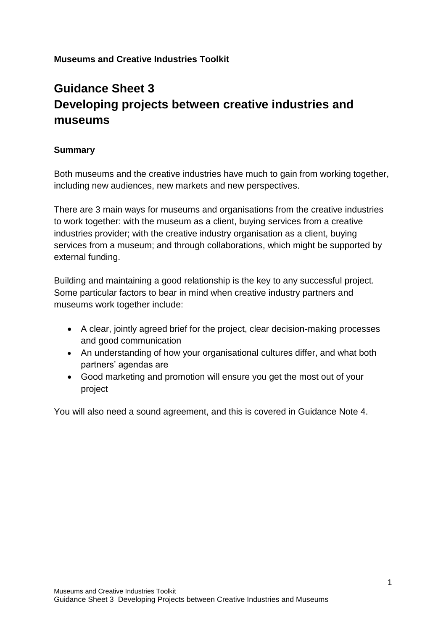#### **Museums and Creative Industries Toolkit**

# **Guidance Sheet 3 Developing projects between creative industries and museums**

#### **Summary**

Both museums and the creative industries have much to gain from working together, including new audiences, new markets and new perspectives.

There are 3 main ways for museums and organisations from the creative industries to work together: with the museum as a client, buying services from a creative industries provider; with the creative industry organisation as a client, buying services from a museum; and through collaborations, which might be supported by external funding.

Building and maintaining a good relationship is the key to any successful project. Some particular factors to bear in mind when creative industry partners and museums work together include:

- A clear, jointly agreed brief for the project, clear decision-making processes and good communication
- An understanding of how your organisational cultures differ, and what both partners' agendas are
- Good marketing and promotion will ensure you get the most out of your project

You will also need a sound agreement, and this is covered in Guidance Note 4.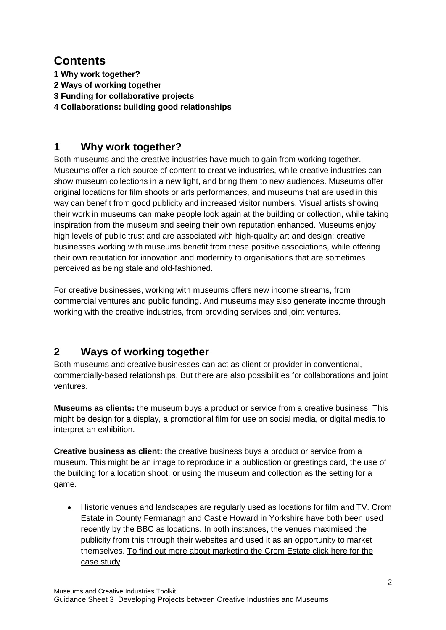# **Contents**

- **1 Why work together?**
- **2 Ways of working together**
- **3 Funding for collaborative projects**
- **4 Collaborations: building good relationships**

## **1 Why work together?**

Both museums and the creative industries have much to gain from working together. Museums offer a rich source of content to creative industries, while creative industries can show museum collections in a new light, and bring them to new audiences. Museums offer original locations for film shoots or arts performances, and museums that are used in this way can benefit from good publicity and increased visitor numbers. Visual artists showing their work in museums can make people look again at the building or collection, while taking inspiration from the museum and seeing their own reputation enhanced. Museums enjoy high levels of public trust and are associated with high-quality art and design: creative businesses working with museums benefit from these positive associations, while offering their own reputation for innovation and modernity to organisations that are sometimes perceived as being stale and old-fashioned.

For creative businesses, working with museums offers new income streams, from commercial ventures and public funding. And museums may also generate income through working with the creative industries, from providing services and joint ventures.

## **2 Ways of working together**

Both museums and creative businesses can act as client or provider in conventional, commercially-based relationships. But there are also possibilities for collaborations and joint ventures.

**Museums as clients:** the museum buys a product or service from a creative business. This might be design for a display, a promotional film for use on social media, or digital media to interpret an exhibition.

**Creative business as client:** the creative business buys a product or service from a museum. This might be an image to reproduce in a publication or greetings card, the use of the building for a location shoot, or using the museum and collection as the setting for a game.

 Historic venues and landscapes are regularly used as locations for film and TV. Crom Estate in County Fermanagh and Castle Howard in Yorkshire have both been used recently by the BBC as locations. In both instances, the venues maximised the publicity from this through their websites and used it as an opportunity to market themselves. To find out more about marketing the Crom Estate click here for the case study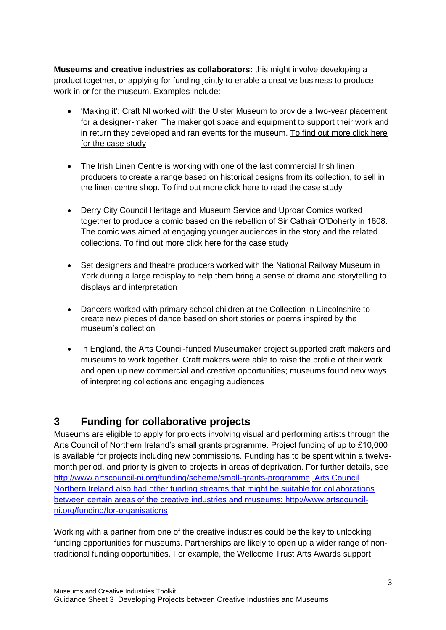**Museums and creative industries as collaborators:** this might involve developing a product together, or applying for funding jointly to enable a creative business to produce work in or for the museum. Examples include:

- 'Making it': Craft NI worked with the Ulster Museum to provide a two-year placement for a designer-maker. The maker got space and equipment to support their work and in return they developed and ran events for the museum. To find out more click here for the case study
- The Irish Linen Centre is working with one of the last commercial Irish linen producers to create a range based on historical designs from its collection, to sell in the linen centre shop. To find out more click here to read the case study
- Derry City Council Heritage and Museum Service and Uproar Comics worked together to produce a comic based on the rebellion of Sir Cathair O'Doherty in 1608. The comic was aimed at engaging younger audiences in the story and the related collections. To find out more click here for the case study
- Set designers and theatre producers worked with the National Railway Museum in York during a large redisplay to help them bring a sense of drama and storytelling to displays and interpretation
- Dancers worked with primary school children at the Collection in Lincolnshire to create new pieces of dance based on short stories or poems inspired by the museum's collection
- In England, the Arts Council-funded Museumaker project supported craft makers and museums to work together. Craft makers were able to raise the profile of their work and open up new commercial and creative opportunities; museums found new ways of interpreting collections and engaging audiences

#### **3 Funding for collaborative projects**

Museums are eligible to apply for projects involving visual and performing artists through the Arts Council of Northern Ireland's small grants programme. Project funding of up to £10,000 is available for projects including new commissions. Funding has to be spent within a twelvemonth period, and priority is given to projects in areas of deprivation. For further details, see [http://www.artscouncil-ni.org/funding/scheme/small-grants-programme.](http://www.artscouncil-ni.org/funding/scheme/small-grants-programme) Arts Council Northern Ireland also had other funding streams that might be suitable for collaborations between certain areas of the creative industries and museums: [http://www.artscouncil](http://www.artscouncil-ni.org/funding/for-organisations)[ni.org/funding/for-organisations](http://www.artscouncil-ni.org/funding/for-organisations)

Working with a partner from one of the creative industries could be the key to unlocking funding opportunities for museums. Partnerships are likely to open up a wider range of nontraditional funding opportunities. For example, the Wellcome Trust Arts Awards support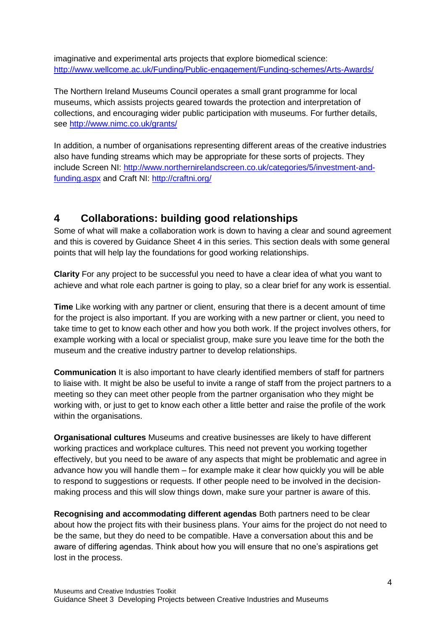imaginative and experimental arts projects that explore biomedical science: <http://www.wellcome.ac.uk/Funding/Public-engagement/Funding-schemes/Arts-Awards/>

The Northern Ireland Museums Council operates a small grant programme for local museums, which assists projects geared towards the protection and interpretation of collections, and encouraging wider public participation with museums. For further details, see<http://www.nimc.co.uk/grants/>

In addition, a number of organisations representing different areas of the creative industries also have funding streams which may be appropriate for these sorts of projects. They include Screen NI: [http://www.northernirelandscreen.co.uk/categories/5/investment-and](http://www.northernirelandscreen.co.uk/categories/5/investment-and-funding.aspx)[funding.aspx](http://www.northernirelandscreen.co.uk/categories/5/investment-and-funding.aspx) and Craft NI:<http://craftni.org/>

### **4 Collaborations: building good relationships**

Some of what will make a collaboration work is down to having a clear and sound agreement and this is covered by Guidance Sheet 4 in this series. This section deals with some general points that will help lay the foundations for good working relationships.

**Clarity** For any project to be successful you need to have a clear idea of what you want to achieve and what role each partner is going to play, so a clear brief for any work is essential.

**Time** Like working with any partner or client, ensuring that there is a decent amount of time for the project is also important. If you are working with a new partner or client, you need to take time to get to know each other and how you both work. If the project involves others, for example working with a local or specialist group, make sure you leave time for the both the museum and the creative industry partner to develop relationships.

**Communication** It is also important to have clearly identified members of staff for partners to liaise with. It might be also be useful to invite a range of staff from the project partners to a meeting so they can meet other people from the partner organisation who they might be working with, or just to get to know each other a little better and raise the profile of the work within the organisations.

**Organisational cultures** Museums and creative businesses are likely to have different working practices and workplace cultures. This need not prevent you working together effectively, but you need to be aware of any aspects that might be problematic and agree in advance how you will handle them – for example make it clear how quickly you will be able to respond to suggestions or requests. If other people need to be involved in the decisionmaking process and this will slow things down, make sure your partner is aware of this.

**Recognising and accommodating different agendas** Both partners need to be clear about how the project fits with their business plans. Your aims for the project do not need to be the same, but they do need to be compatible. Have a conversation about this and be aware of differing agendas. Think about how you will ensure that no one's aspirations get lost in the process.